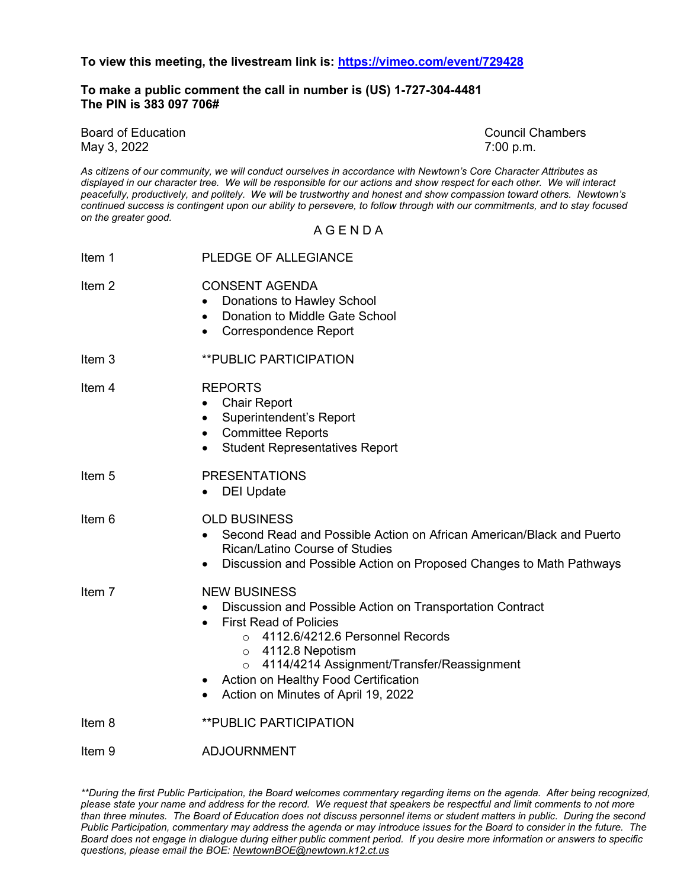**To view this meeting, the livestream link is:<https://vimeo.com/event/729428>**

**To make a public comment the call in number is (US) 1-727-304-4481 The PIN is 383 097 706#** 

Board of Education Council Chambers May 3, 2022 7:00 p.m.

*As citizens of our community, we will conduct ourselves in accordance with Newtown's Core Character Attributes as displayed in our character tree. We will be responsible for our actions and show respect for each other. We will interact peacefully, productively, and politely. We will be trustworthy and honest and show compassion toward others. Newtown's continued success is contingent upon our ability to persevere, to follow through with our commitments, and to stay focused on the greater good.*

A G E N D A

| <b>PLEDGE OF ALLEGIANCE</b>                                                                                                                                                                                                                                                                                                                            |
|--------------------------------------------------------------------------------------------------------------------------------------------------------------------------------------------------------------------------------------------------------------------------------------------------------------------------------------------------------|
| <b>CONSENT AGENDA</b><br>Donations to Hawley School<br>Donation to Middle Gate School<br>$\bullet$<br><b>Correspondence Report</b><br>$\bullet$                                                                                                                                                                                                        |
| <b>**PUBLIC PARTICIPATION</b>                                                                                                                                                                                                                                                                                                                          |
| <b>REPORTS</b><br><b>Chair Report</b><br>Superintendent's Report<br><b>Committee Reports</b><br>$\bullet$<br><b>Student Representatives Report</b><br>$\bullet$                                                                                                                                                                                        |
| <b>PRESENTATIONS</b><br><b>DEI Update</b>                                                                                                                                                                                                                                                                                                              |
| <b>OLD BUSINESS</b><br>Second Read and Possible Action on African American/Black and Puerto<br><b>Rican/Latino Course of Studies</b><br>Discussion and Possible Action on Proposed Changes to Math Pathways                                                                                                                                            |
| <b>NEW BUSINESS</b><br>Discussion and Possible Action on Transportation Contract<br><b>First Read of Policies</b><br>4112.6/4212.6 Personnel Records<br>$\circ$<br>$\circ$ 4112.8 Nepotism<br>4114/4214 Assignment/Transfer/Reassignment<br>$\circ$<br><b>Action on Healthy Food Certification</b><br>Action on Minutes of April 19, 2022<br>$\bullet$ |
| <b>**PUBLIC PARTICIPATION</b>                                                                                                                                                                                                                                                                                                                          |
| <b>ADJOURNMENT</b>                                                                                                                                                                                                                                                                                                                                     |
|                                                                                                                                                                                                                                                                                                                                                        |

*\*\*During the first Public Participation, the Board welcomes commentary regarding items on the agenda. After being recognized, please state your name and address for the record. We request that speakers be respectful and limit comments to not more than three minutes. The Board of Education does not discuss personnel items or student matters in public. During the second Public Participation, commentary may address the agenda or may introduce issues for the Board to consider in the future. The Board does not engage in dialogue during either public comment period. If you desire more information or answers to specific questions, please email the BOE[: NewtownBOE@newtown.k12.ct.us](mailto:NewtownBOE@newtown.k12.ct.us)*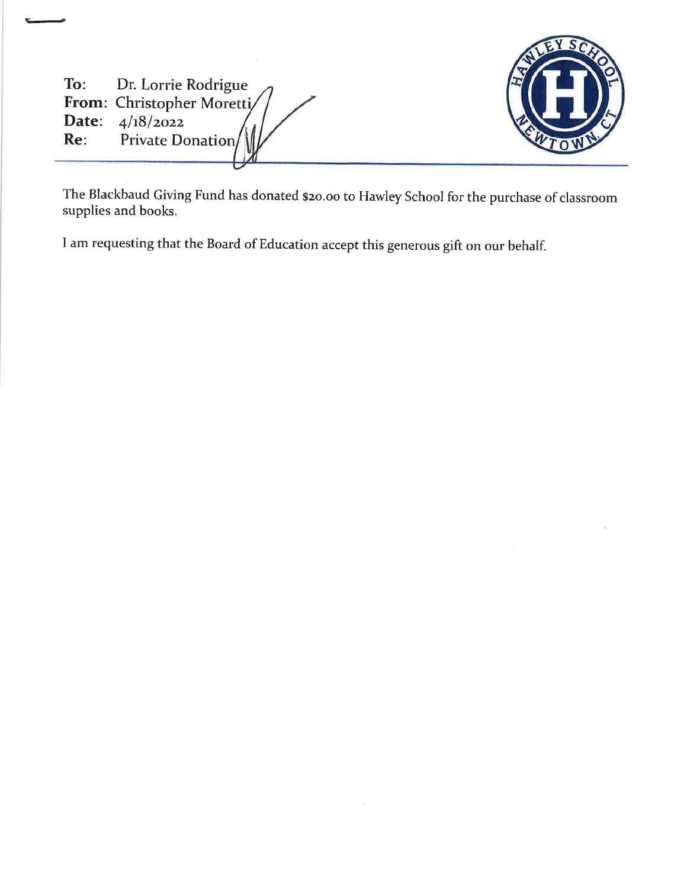| To: Dr. Lorrie Rodrigue<br>From: Christopher Moretti/<br><b>Date:</b> $4/18/2022$<br>Re: Private Donation |  |
|-----------------------------------------------------------------------------------------------------------|--|
|                                                                                                           |  |

The Blackbaud Giving Fund has donated \$20.00 to Hawley School for the purchase of classroom supplies and books.

I am requesting that the Board of Education accept this generous gift on our behalf.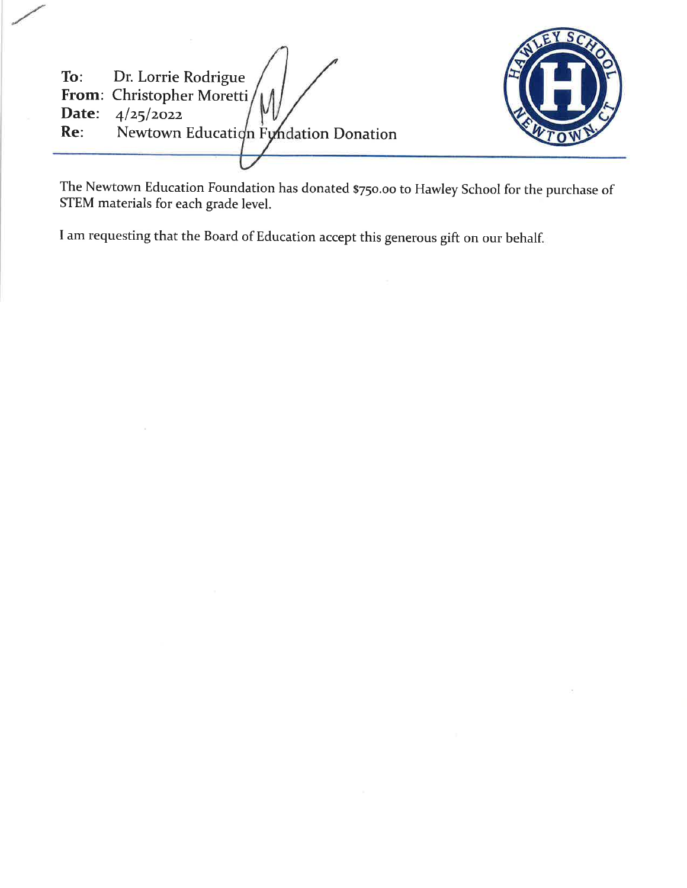Dr. Lorrie Rodrigue To: From: Christopher Moretti Date:  $4/25/2022$ Re: Newtown Education Fyndation Donation



The Newtown Education Foundation has donated \$750.00 to Hawley School for the purchase of STEM materials for each grade level.

I am requesting that the Board of Education accept this generous gift on our behalf.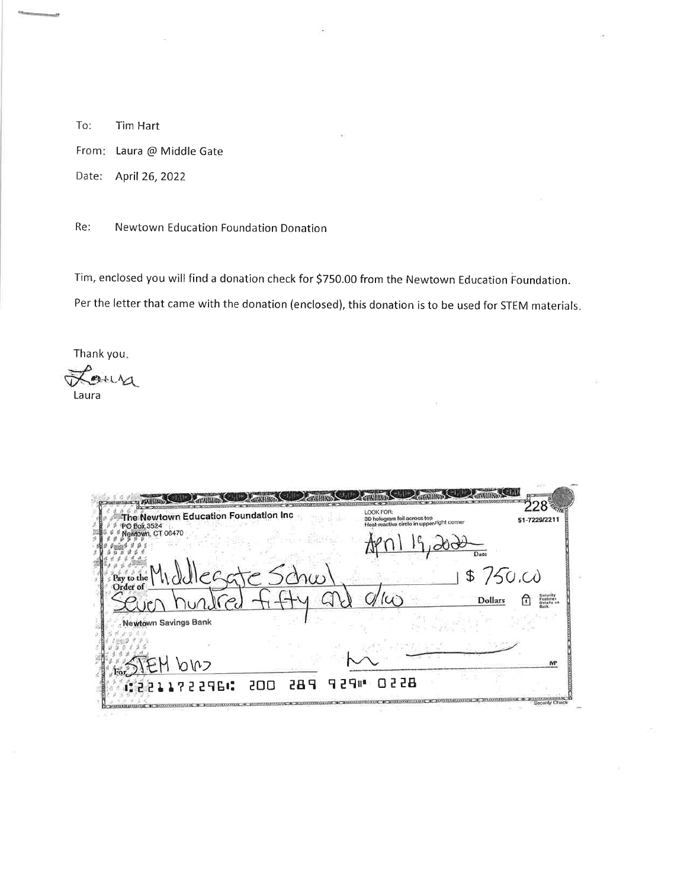To: Tim Hart From: Laura @ Middle Gate Date: April 26, 2022

Re: Newtown Education Foundation Donation

Tim, enclosed you will find a donation check for \$750.00 from the Newtown Education Foundation. Per the letter that came with the donation (enclosed), this donation is to be used for STEM materials.

Thank you.

Lour Laura

| The Newtown Education Foundation Inc<br>PO Box 3524 | LOOK FOR:<br>3D hologram foil across top<br>Heat-reactive circle in upper-right corner<br>51-7229/2211 |
|-----------------------------------------------------|--------------------------------------------------------------------------------------------------------|
| Newtown, CT 06470                                   | Date                                                                                                   |
| eggte Schw<br>Pay to the                            | \$750.00                                                                                               |
|                                                     | <b>Dollars</b><br>π<br>Details a                                                                       |
| <b>Newtown Savings Bank</b>                         |                                                                                                        |
|                                                     |                                                                                                        |
| EM DIO                                              |                                                                                                        |
| 122211722966<br>200                                 | 0228<br>日 2日時<br><b>289</b>                                                                            |

.<br>Waxaa kale kale ka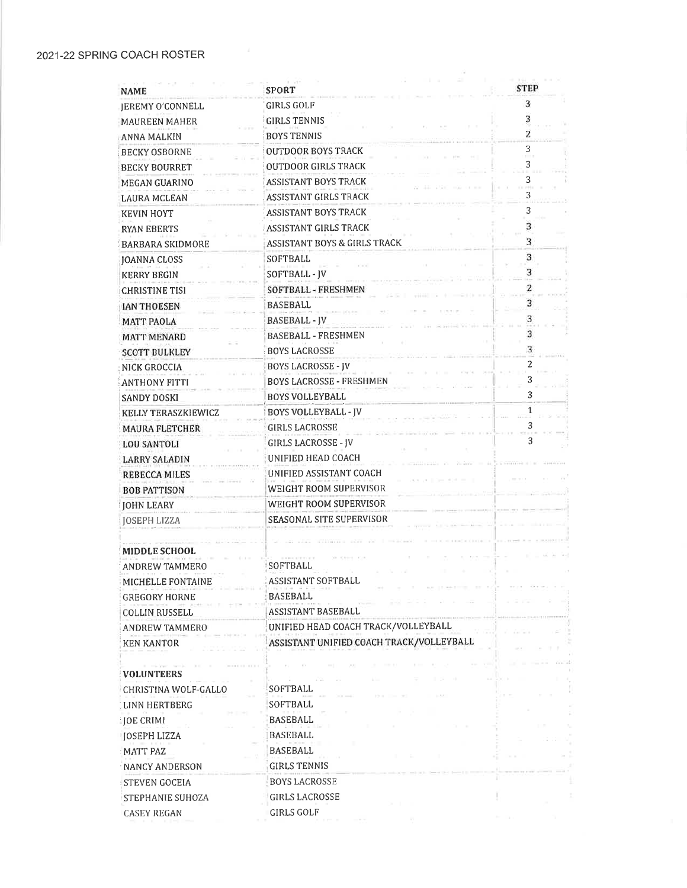| <b>NAME</b>                       | <b>SPORT</b>                             | <b>STEP</b> |
|-----------------------------------|------------------------------------------|-------------|
| <b>IEREMY O'CONNELL</b>           | GIRLS GOLF                               | 3           |
| <b>MAUREEN MAHER</b>              | <b>GIRLS TENNIS</b>                      | 3           |
| ANNA MALKIN                       | <b>BOYS TENNIS</b>                       | 2           |
| <b>BECKY OSBORNE</b>              | OUTDOOR BOYS TRACK                       | 3           |
| <b>BECKY BOURRET</b>              | <b>OUTDOOR GIRLS TRACK</b>               | 3           |
| <b>MEGAN GUARINO</b>              | <b>ASSISTANT BOYS TRACK</b>              | 3           |
| LAURA MCLEAN                      | ASSISTANT GIRLS TRACK                    | 3           |
| <b>KEVIN HOYT</b>                 | ASSISTANT BOYS TRACK                     | 3           |
| RYAN EBERTS                       | ASSISTANT GIRLS TRACK                    | 3           |
| <b>BARBARA SKIDMORE</b>           | ASSISTANT BOYS & GIRLS TRACK             | 3           |
| <b>JOANNA CLOSS</b>               | SOFTBALL                                 | 3           |
| <b>KERRY BEGIN</b>                | SOFTBALL - JV                            | 3           |
| <b>CHRISTINE TISI</b>             | SOFTBALL - FRESHMEN                      | 2           |
| <b>JAN THOESEN</b>                | BASEBALL                                 | 3           |
| <b>MATT PAOLA</b>                 | <b>BASEBALL - JV</b>                     |             |
| <b>MATT MENARD</b>                | <b>BASEBALL - FRESHMEN</b>               | 3           |
| <b>SCOTT BULKLEY</b>              | <b>BOYS LACROSSE</b>                     | 3           |
| NICK GROCCIA                      | <b>BOYS LACROSSE - JV</b>                | 2           |
| <b>ANTHONY FITTI</b>              | <b>BOYS LACROSSE - FRESHMEN</b>          |             |
| SANDY DOSKI                       | <b>BOYS VOLLEYBALL</b>                   | 3           |
| KELLY TERASZKIEWICZ               | <b>BOYS VOLLEYBALL - IV</b>              | 1           |
| <b>MAURA FLETCHER</b>             | <b>GIRLS LACROSSE</b>                    |             |
| <b>LOU SANTOLI</b>                | <b>GIRLS LACROSSE - JV</b>               | 3           |
| <b>LARRY SALADIN</b>              | UNIFIED HEAD COACH                       |             |
| <b>REBECCA MILES</b>              | UNIFIED ASSISTANT COACH                  |             |
| <b>BOB PATTISON</b>               | WEIGHT ROOM SUPERVISOR                   |             |
| <b>JOHN LEARY</b>                 | WEIGHT ROOM SUPERVISOR                   |             |
| <b>JOSEPH LIZZA</b>               | SEASONAL SITE SUPERVISOR                 |             |
|                                   |                                          |             |
| <b>MIDDLE SCHOOL</b>              |                                          |             |
| ANDREW TAMMERO                    | SOFTBALL                                 |             |
| MICHELLE FONTAINE                 | <b>ASSISTANT SOFTBALL</b>                |             |
| <b>GREGORY HORNE</b>              | BASEBALL                                 |             |
| <b>COLLIN RUSSELL</b>             | ASSISTANT BASEBALL                       |             |
| ANDREW TAMMERO                    | UNIFIED HEAD COACH TRACK/VOLLEYBALL      |             |
| <b>KEN KANTOR</b>                 | ASSISTANT UNIFIED COACH TRACK/VOLLEYBALL |             |
|                                   |                                          |             |
| <b>VOLUNTEERS</b>                 |                                          |             |
| CHRISTINA WOLF-GALLO              | SOFTBALL                                 |             |
| LINN HERTBERG                     | SOFTBALL                                 |             |
| <b>JOE CRIMI</b>                  | BASEBALL                                 |             |
| JOSEPH LIZZA                      | BASEBALL                                 |             |
| <b>MATT PAZ</b>                   | BASEBALL                                 |             |
| NANCY ANDERSON                    | <b>GIRLS TENNIS</b>                      |             |
|                                   | <b>BOYS LACROSSE</b>                     |             |
| STEVEN GOCEIA<br>STEPHANIE SUHOZA | <b>GIRLS LACROSSE</b>                    |             |
|                                   |                                          |             |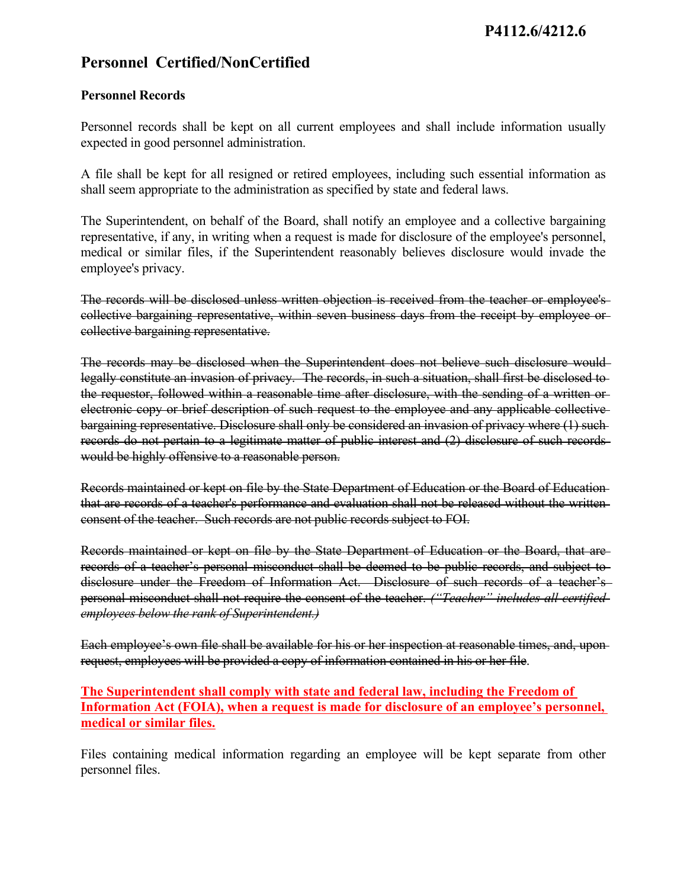# **Personnel Certified/NonCertified**

## **Personnel Records**

Personnel records shall be kept on all current employees and shall include information usually expected in good personnel administration.

A file shall be kept for all resigned or retired employees, including such essential information as shall seem appropriate to the administration as specified by state and federal laws.

The Superintendent, on behalf of the Board, shall notify an employee and a collective bargaining representative, if any, in writing when a request is made for disclosure of the employee's personnel, medical or similar files, if the Superintendent reasonably believes disclosure would invade the employee's privacy.

The records will be disclosed unless written objection is received from the teacher or employee's collective bargaining representative, within seven business days from the receipt by employee or collective bargaining representative.

The records may be disclosed when the Superintendent does not believe such disclosure would legally constitute an invasion of privacy. The records, in such a situation, shall first be disclosed to the requestor, followed within a reasonable time after disclosure, with the sending of a written orelectronic copy or brief description of such request to the employee and any applicable collective bargaining representative. Disclosure shall only be considered an invasion of privacy where (1) such records do not pertain to a legitimate matter of public interest and (2) disclosure of such records would be highly offensive to a reasonable person.

Records maintained or kept on file by the State Department of Education or the Board of Education that are records of a teacher's performance and evaluation shall not be released without the writtenconsent of the teacher. Such records are not public records subject to FOI.

Records maintained or kept on file by the State Department of Education or the Board, that are records of a teacher's personal misconduct shall be deemed to be public records, and subject to disclosure under the Freedom of Information Act. Disclosure of such records of a teacher's personal misconduct shall not require the consent of the teacher. *("Teacher" includes all certified employees below the rank of Superintendent.)*

Each employee's own file shall be available for his or her inspection at reasonable times, and, uponrequest, employees will be provided a copy of information contained in his or her file.

**The Superintendent shall comply with state and federal law, including the Freedom of Information Act (FOIA), when a request is made for disclosure of an employee's personnel, medical or similar files.**

Files containing medical information regarding an employee will be kept separate from other personnel files.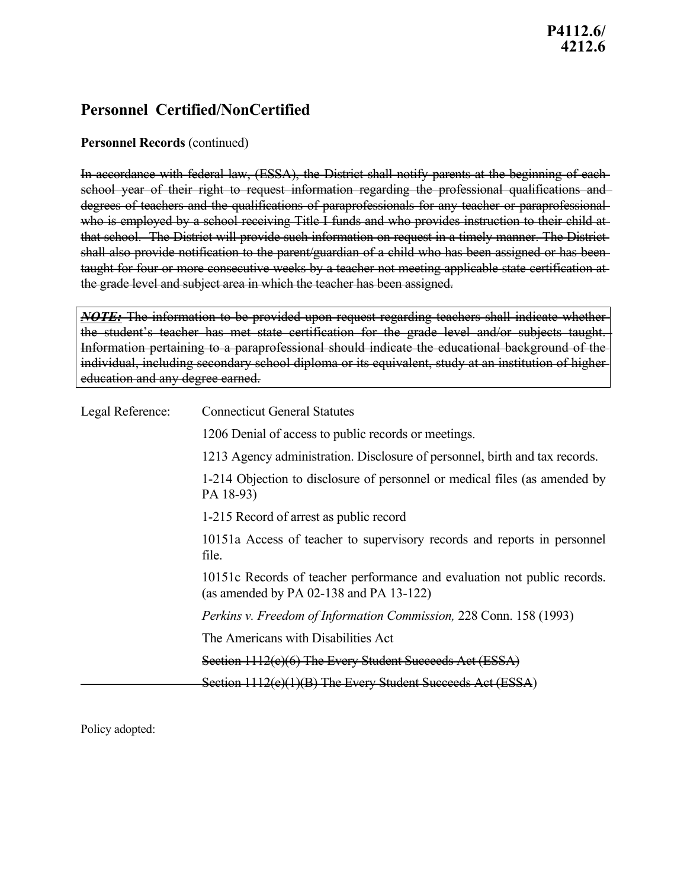# **Personnel Certified/NonCertified**

## **Personnel Records** (continued)

In accordance with federal law, (ESSA), the District shall notify parents at the beginning of each school year of their right to request information regarding the professional qualifications and degrees of teachers and the qualifications of paraprofessionals for any teacher or paraprofessional who is employed by a school receiving Title I funds and who provides instruction to their child at that school. The District will provide such information on request in a timely manner. The Districtshall also provide notification to the parent/guardian of a child who has been assigned or has been taught for four or more consecutive weeks by a teacher not meeting applicable state certification at the grade level and subject area in which the teacher has been assigned.

*NOTE:* The information to be provided upon request regarding teachers shall indicate whether the student's teacher has met state certification for the grade level and/or subjects taught. Information pertaining to a paraprofessional should indicate the educational background of the individual, including secondary school diploma or its equivalent, study at an institution of higher education and any degree earned.

| Legal Reference: | <b>Connecticut General Statutes</b>                                                                                      |
|------------------|--------------------------------------------------------------------------------------------------------------------------|
|                  | 1206 Denial of access to public records or meetings.                                                                     |
|                  | 1213 Agency administration. Disclosure of personnel, birth and tax records.                                              |
|                  | 1-214 Objection to disclosure of personnel or medical files (as amended by<br>PA 18-93)                                  |
|                  | 1-215 Record of arrest as public record                                                                                  |
|                  | 10151a Access of teacher to supervisory records and reports in personnel<br>file.                                        |
|                  | 10151c Records of teacher performance and evaluation not public records.<br>(as amended by PA $02-138$ and PA $13-122$ ) |
|                  | Perkins v. Freedom of Information Commission, 228 Conn. 158 (1993)                                                       |
|                  | The Americans with Disabilities Act                                                                                      |
|                  | Section 1112(c)(6) The Every Student Succeeds Act (ESSA)                                                                 |
|                  | Section 1112(e)(1)(B) The Every Student Succeeds Act (ESSA)                                                              |

Policy adopted: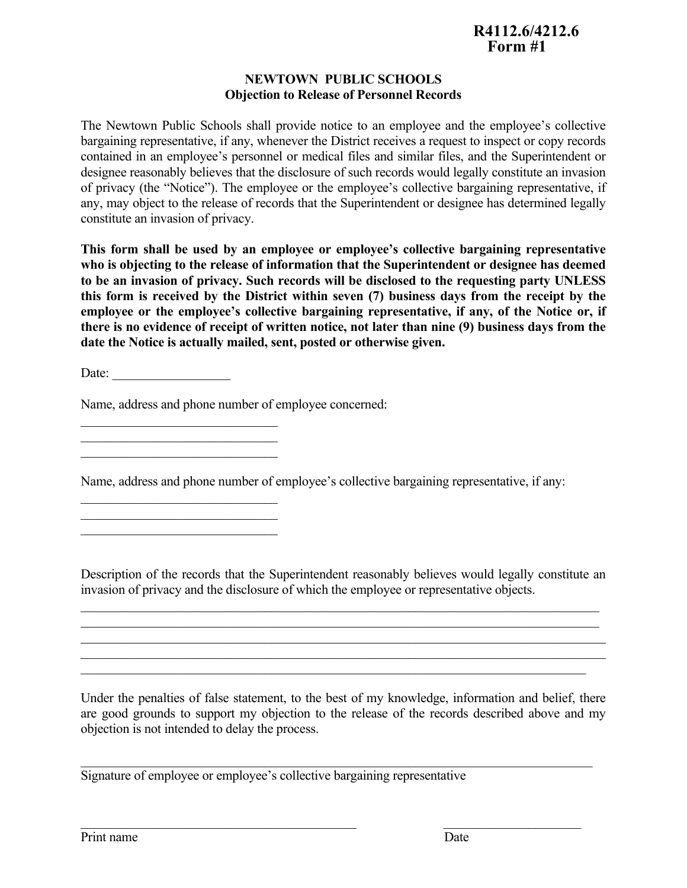### **NEWTOWN PUBLIC SCHOOLS Objection to Release of Personnel Records**

The Newtown Public Schools shall provide notice to an employee and the employee's collective bargaining representative, if any, whenever the District receives a request to inspect or copy records contained in an employee's personnel or medical files and similar files, and the Superintendent or designee reasonably believes that the disclosure of such records would legally constitute an invasion of privacy (the "Notice"). The employee or the employee's collective bargaining representative, if any, may object to the release of records that the Superintendent or designee has determined legally constitute an invasion of privacy.

**This form shall be used by an employee or employee's collective bargaining representative who is objecting to the release of information that the Superintendent or designee has deemed to be an invasion of privacy. Such records will be disclosed tothe requesting party UNLESS this form is received by the District within seven (7) business days from the receipt bythe employee or the employee's collective bargaining representative, if any, of the Notice or, if there is no evidence of receipt of written notice, not later than nine (9) business days from the date the Notice is actually mailed, sent, posted or otherwise given.**

Date:

Name, address and phone number of employee concerned:

 $\mathcal{L}_\text{max}$  and  $\mathcal{L}_\text{max}$  and  $\mathcal{L}_\text{max}$  and  $\mathcal{L}_\text{max}$  and  $\mathcal{L}_\text{max}$ 

 $\mathcal{L}_\text{max}$  and  $\mathcal{L}_\text{max}$  and  $\mathcal{L}_\text{max}$  and  $\mathcal{L}_\text{max}$  and  $\mathcal{L}_\text{max}$  $\mathcal{L}_\text{max}$  and  $\mathcal{L}_\text{max}$  and  $\mathcal{L}_\text{max}$  and  $\mathcal{L}_\text{max}$  and  $\mathcal{L}_\text{max}$  $\mathcal{L}_\text{max}$  and  $\mathcal{L}_\text{max}$  and  $\mathcal{L}_\text{max}$  and  $\mathcal{L}_\text{max}$  and  $\mathcal{L}_\text{max}$ 

 $\mathcal{L}_\text{max}$  and  $\mathcal{L}_\text{max}$  and  $\mathcal{L}_\text{max}$  and  $\mathcal{L}_\text{max}$  and  $\mathcal{L}_\text{max}$ 

Name, address and phone number of employee's collective bargaining representative, if any:

Description of the records that the Superintendent reasonably believes would legally constitute an invasion of privacy and the disclosure of which the employee or representative objects.

 $\mathcal{L}_\mathcal{L} = \mathcal{L}_\mathcal{L} = \mathcal{L}_\mathcal{L} = \mathcal{L}_\mathcal{L} = \mathcal{L}_\mathcal{L} = \mathcal{L}_\mathcal{L} = \mathcal{L}_\mathcal{L} = \mathcal{L}_\mathcal{L} = \mathcal{L}_\mathcal{L} = \mathcal{L}_\mathcal{L} = \mathcal{L}_\mathcal{L} = \mathcal{L}_\mathcal{L} = \mathcal{L}_\mathcal{L} = \mathcal{L}_\mathcal{L} = \mathcal{L}_\mathcal{L} = \mathcal{L}_\mathcal{L} = \mathcal{L}_\mathcal{L}$  $\mathcal{L}_\mathcal{L} = \mathcal{L}_\mathcal{L} = \mathcal{L}_\mathcal{L} = \mathcal{L}_\mathcal{L} = \mathcal{L}_\mathcal{L} = \mathcal{L}_\mathcal{L} = \mathcal{L}_\mathcal{L} = \mathcal{L}_\mathcal{L} = \mathcal{L}_\mathcal{L} = \mathcal{L}_\mathcal{L} = \mathcal{L}_\mathcal{L} = \mathcal{L}_\mathcal{L} = \mathcal{L}_\mathcal{L} = \mathcal{L}_\mathcal{L} = \mathcal{L}_\mathcal{L} = \mathcal{L}_\mathcal{L} = \mathcal{L}_\mathcal{L}$  $\mathcal{L}_\mathcal{L} = \{ \mathcal{L}_\mathcal{L} = \{ \mathcal{L}_\mathcal{L} = \{ \mathcal{L}_\mathcal{L} = \{ \mathcal{L}_\mathcal{L} = \{ \mathcal{L}_\mathcal{L} = \{ \mathcal{L}_\mathcal{L} = \{ \mathcal{L}_\mathcal{L} = \{ \mathcal{L}_\mathcal{L} = \{ \mathcal{L}_\mathcal{L} = \{ \mathcal{L}_\mathcal{L} = \{ \mathcal{L}_\mathcal{L} = \{ \mathcal{L}_\mathcal{L} = \{ \mathcal{L}_\mathcal{L} = \{ \mathcal{L}_\mathcal{$  $\mathcal{L}_\mathcal{L} = \mathcal{L}_\mathcal{L} = \mathcal{L}_\mathcal{L} = \mathcal{L}_\mathcal{L} = \mathcal{L}_\mathcal{L} = \mathcal{L}_\mathcal{L} = \mathcal{L}_\mathcal{L} = \mathcal{L}_\mathcal{L} = \mathcal{L}_\mathcal{L} = \mathcal{L}_\mathcal{L} = \mathcal{L}_\mathcal{L} = \mathcal{L}_\mathcal{L} = \mathcal{L}_\mathcal{L} = \mathcal{L}_\mathcal{L} = \mathcal{L}_\mathcal{L} = \mathcal{L}_\mathcal{L} = \mathcal{L}_\mathcal{L}$  $\mathcal{L}_\mathcal{L} = \mathcal{L}_\mathcal{L} = \mathcal{L}_\mathcal{L} = \mathcal{L}_\mathcal{L} = \mathcal{L}_\mathcal{L} = \mathcal{L}_\mathcal{L} = \mathcal{L}_\mathcal{L} = \mathcal{L}_\mathcal{L} = \mathcal{L}_\mathcal{L} = \mathcal{L}_\mathcal{L} = \mathcal{L}_\mathcal{L} = \mathcal{L}_\mathcal{L} = \mathcal{L}_\mathcal{L} = \mathcal{L}_\mathcal{L} = \mathcal{L}_\mathcal{L} = \mathcal{L}_\mathcal{L} = \mathcal{L}_\mathcal{L}$ 

 $\mathcal{L}_\text{max}$  , and the contribution of the contribution of the contribution of the contribution of the contribution of the contribution of the contribution of the contribution of the contribution of the contribution of t

Under the penalties of false statement, to the best of my knowledge, information and belief, there are good grounds to support my objection to the release of the records described above and my objection is not intended to delay the process.

Signature of employee or employee's collective bargaining representative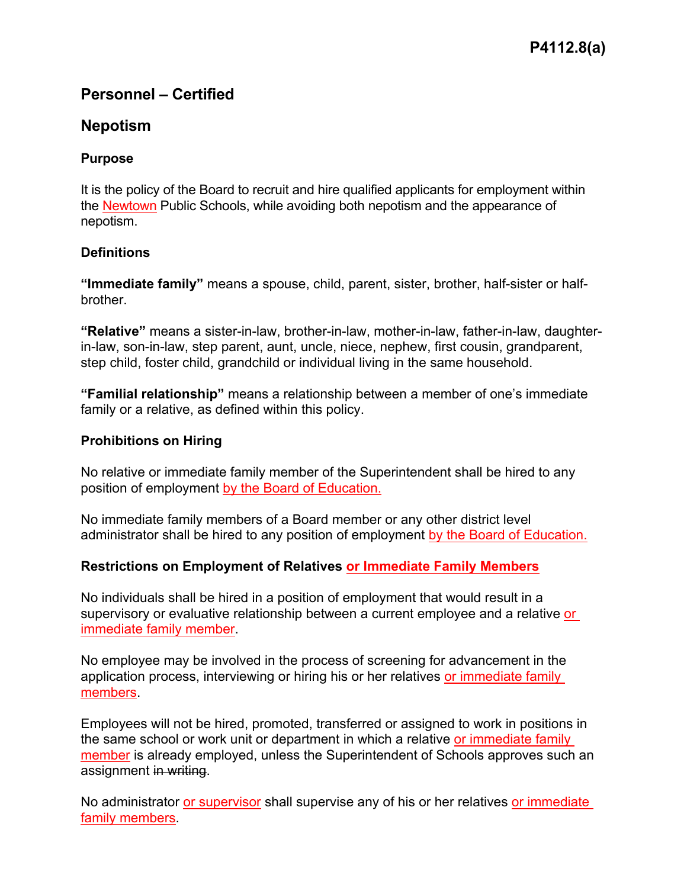# **Personnel – Certified**

# **Nepotism**

## **Purpose**

It is the policy of the Board to recruit and hire qualified applicants for employment within the Newtown Public Schools, while avoiding both nepotism and the appearance of nepotism.

# **Definitions**

**"Immediate family"** means a spouse, child, parent, sister, brother, half-sister or halfbrother.

**"Relative"** means a sister-in-law, brother-in-law, mother-in-law, father-in-law, daughterin-law, son-in-law, step parent, aunt, uncle, niece, nephew, first cousin, grandparent, step child, foster child, grandchild or individual living in the same household.

**"Familial relationship"** means a relationship between a member of one's immediate family or a relative, as defined within this policy.

## **Prohibitions on Hiring**

No relative or immediate family member of the Superintendent shall be hired to any position of employment by the Board of Education.

No immediate family members of a Board member or any other district level administrator shall be hired to any position of employment by the Board of Education.

# **Restrictions on Employment of Relatives or Immediate Family Members**

No individuals shall be hired in a position of employment that would result in a supervisory or evaluative relationship between a current employee and a relative or immediate family member.<br>No employee may be involved in the process of screening for advancement in the

application process, interviewing or hiring his or her relatives or immediate family members.

Employees will not be hired, promoted, transferred or assigned to work in positions in the same school or work unit or department in which a relative or immediate family member is already employed, unless the Superintendent of Schools approves such an assignment i<del>n writing</del>.<br>No administrator or supervisor shall supervise any of his or her relatives or immediate

family members.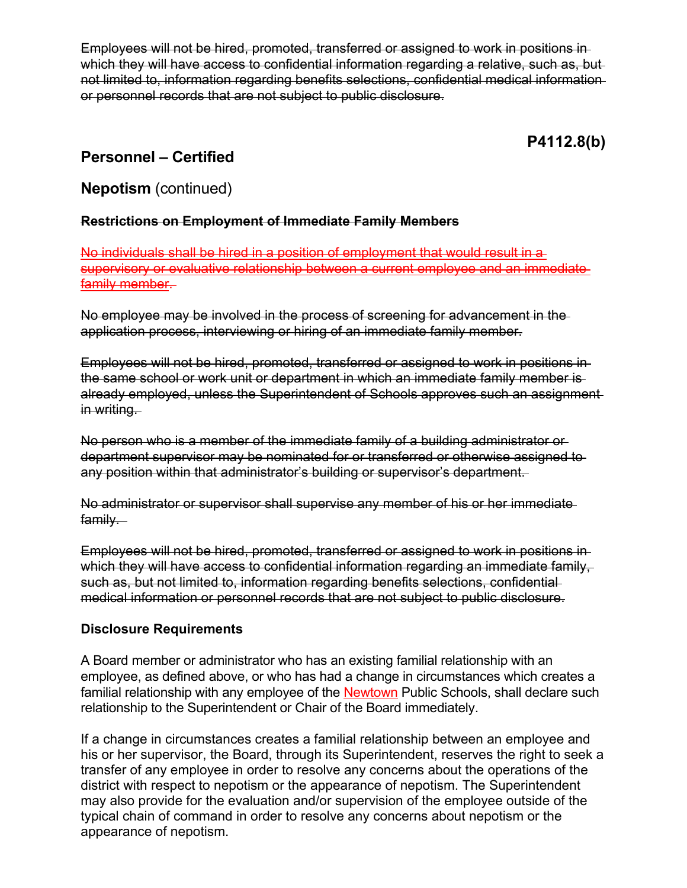Employees will not be hired, promoted, transferred or assigned to work in positions in which they will have access to confidential information regarding a relative, such as, but not limited to, information regarding benefits selections, confidential medical information or personnel records that are not subject to public disclosure.

**P4112.8(b)**

# **Personnel – Certified**

# **Nepotism** (continued)

## **Restrictions on Employment of Immediate Family Members**

No individuals shall be hired in a position of employment that would result in a supervisory or evaluative relationship between a current employee and an immediate <u>family member</u>.<br>No employee may be involved in the process of screening for advancement in the

application process, interviewing or hiring of an immediate family member.

Employees will not be hired, promoted, transferred or assigned to work in positions in the same school or work unit or department in which an immediate family member is already employed, unless the Superintendent of Schools approves such an assignment in writing.

No person who is a member of the immediate family of a building administrator or department supervisor may be nominated for or transferred or otherwise assigned to any position within that administrator's building or supervisor's department.

No administrator or supervisor shall supervise any member of his or her immediate family.

Employees will not be hired, promoted, transferred or assigned to work in positions in which they will have access to confidential information regarding an immediate family, such as, but not limited to, information regarding benefits selections, confidential medical information or personnel records that are not subject to public disclosure.

## **Disclosure Requirements**

A Board member or administrator who has an existing familial relationship with an employee, as defined above, or who has had a change in circumstances which creates a familial relationship with any employee of the Newtown Public Schools, shall declare such relationship to the Superintendent or Chair of the Board immediately.

If a change in circumstances creates a familial relationship between an employee and his or her supervisor, the Board, through its Superintendent, reserves the right to seek a transfer of any employee in order to resolve any concerns about the operations of the district with respect to nepotism or the appearance of nepotism. The Superintendent may also provide for the evaluation and/or supervision of the employee outside of the typical chain of command in order to resolve any concerns about nepotism or the appearance of nepotism.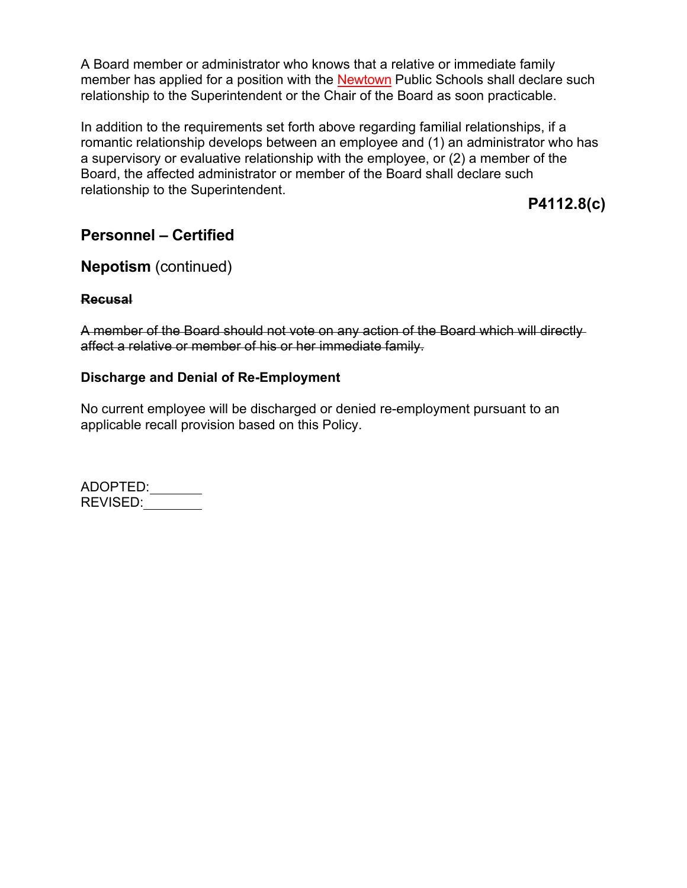A Board member or administrator who knows that a relative or immediate family member has applied for a position with the Newtown Public Schools shall declare such relationship to the Superintendent or the Chair of the Board as soon practicable.

In addition to the requirements set forth above regarding familial relationships, if a romantic relationship develops between an employee and (1) an administrator who has a supervisory or evaluative relationship with the employee, or (2) a member of the Board, the affected administrator or member of the Board shall declare such relationship to the Superintendent.

**P4112.8(c)**

# **Personnel – Certified**

# **Nepotism** (continued)

## **Recusal**

A member of the Board should not vote on any action of the Board which will directly affect a relative or member of his or her immediate family.

## **Discharge and Denial of Re-Employment**

No current employee will be discharged or denied re-employment pursuant to an applicable recall provision based on this Policy.

ADOPTED: REVISED: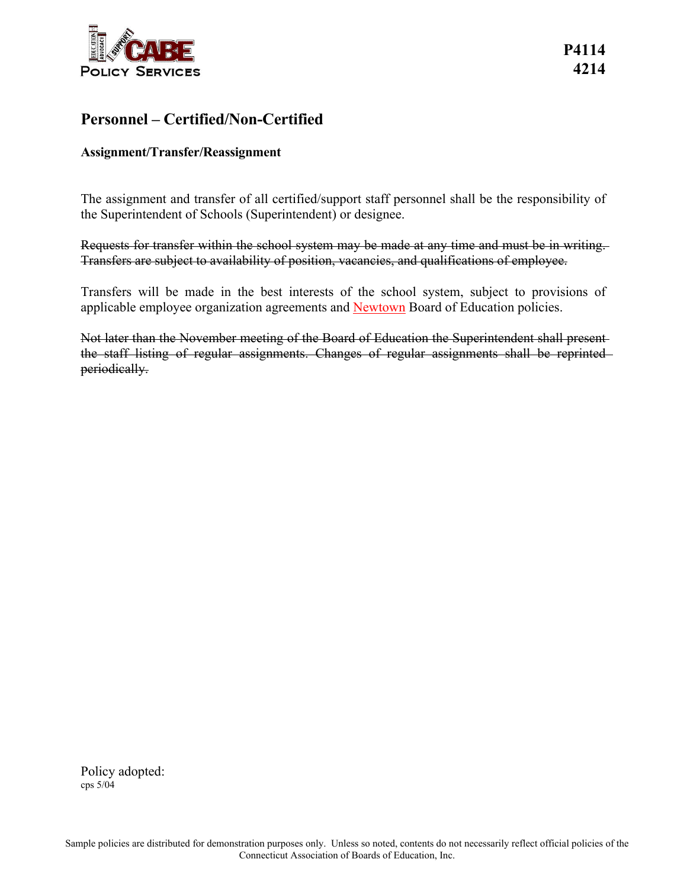

# **Personnel – Certified/Non-Certified**

## **Assignment/Transfer/Reassignment**

The assignment and transfer of all certified/support staff personnel shall be the responsibility of the Superintendent of Schools (Superintendent) or designee.

Requests for transfer within the school system may be made at any time and must be in writing. Transfers are subject to availability of position, vacancies, and qualifications of employee.

Transfers will be made in the best interests of the school system, subject to provisions of applicable employee organization agreements and Newtown Board of Education policies.

Not later than the November meeting of the Board of Education the Superintendent shall present the staff listing of regular assignments. Changes of regular assignments shall be reprinted periodically.

Policy adopted: cps 5/04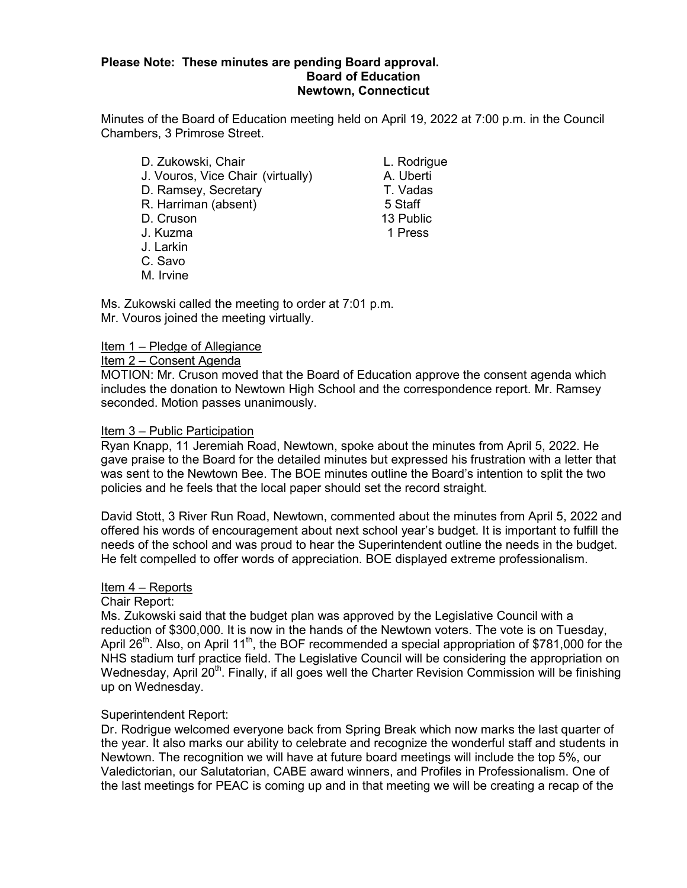#### **Please Note: These minutes are pending Board approval. Board of Education Newtown, Connecticut**

Minutes of the Board of Education meeting held on April 19, 2022 at 7:00 p.m. in the Council Chambers, 3 Primrose Street.

D. Zukowski, Chair Chair Chair L. Rodrigue J. Vouros, Vice Chair (virtually) A. Uberti D. Ramsey, Secretary T. Vadas R. Harriman (absent) 5 Staff D. Cruson 13 Public J. Kuzma 1 Press J. Larkin C. Savo M. Irvine

Ms. Zukowski called the meeting to order at 7:01 p.m. Mr. Vouros joined the meeting virtually.

### Item 1 – Pledge of Allegiance

### Item 2 – Consent Agenda

MOTION: Mr. Cruson moved that the Board of Education approve the consent agenda which includes the donation to Newtown High School and the correspondence report. Mr. Ramsey seconded. Motion passes unanimously.

### Item 3 – Public Participation

Ryan Knapp, 11 Jeremiah Road, Newtown, spoke about the minutes from April 5, 2022. He gave praise to the Board for the detailed minutes but expressed his frustration with a letter that was sent to the Newtown Bee. The BOE minutes outline the Board's intention to split the two policies and he feels that the local paper should set the record straight.

David Stott, 3 River Run Road, Newtown, commented about the minutes from April 5, 2022 and offered his words of encouragement about next school year's budget. It is important to fulfill the needs of the school and was proud to hear the Superintendent outline the needs in the budget. He felt compelled to offer words of appreciation. BOE displayed extreme professionalism.

### Item 4 – Reports

### Chair Report:

Ms. Zukowski said that the budget plan was approved by the Legislative Council with a reduction of \$300,000. It is now in the hands of the Newtown voters. The vote is on Tuesday, April 26<sup>th</sup>. Also, on April 11<sup>th</sup>, the BOF recommended a special appropriation of \$781,000 for the NHS stadium turf practice field. The Legislative Council will be considering the appropriation on Wednesday, April 20<sup>th</sup>. Finally, if all goes well the Charter Revision Commission will be finishing up on Wednesday.

### Superintendent Report:

Dr. Rodrigue welcomed everyone back from Spring Break which now marks the last quarter of the year. It also marks our ability to celebrate and recognize the wonderful staff and students in Newtown. The recognition we will have at future board meetings will include the top 5%, our Valedictorian, our Salutatorian, CABE award winners, and Profiles in Professionalism. One of the last meetings for PEAC is coming up and in that meeting we will be creating a recap of the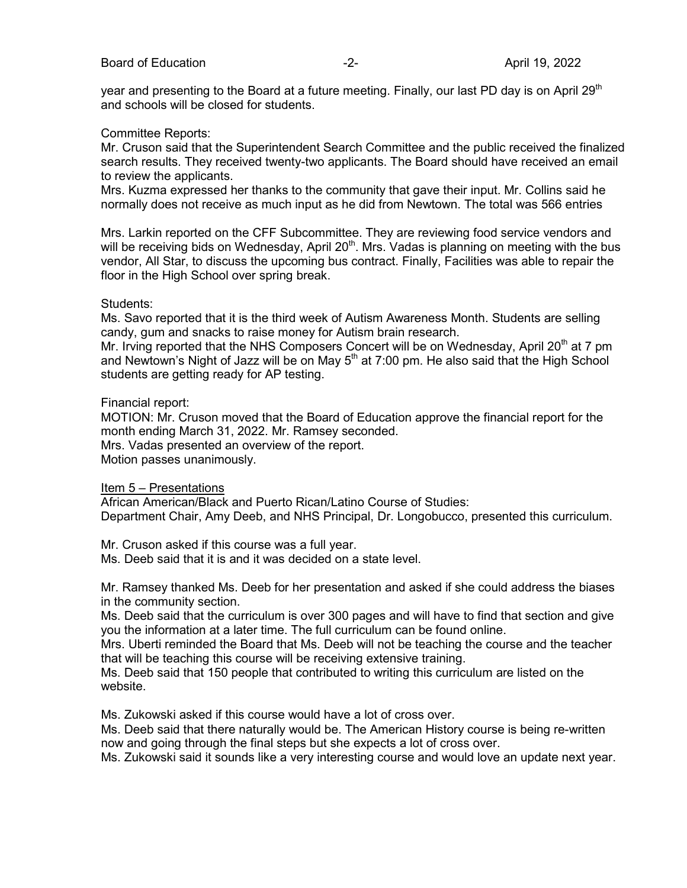year and presenting to the Board at a future meeting. Finally, our last PD day is on April 29<sup>th</sup> and schools will be closed for students.

#### Committee Reports:

Mr. Cruson said that the Superintendent Search Committee and the public received the finalized search results. They received twenty-two applicants. The Board should have received an email to review the applicants.

Mrs. Kuzma expressed her thanks to the community that gave their input. Mr. Collins said he normally does not receive as much input as he did from Newtown. The total was 566 entries

Mrs. Larkin reported on the CFF Subcommittee. They are reviewing food service vendors and will be receiving bids on Wednesday, April 20<sup>th</sup>. Mrs. Vadas is planning on meeting with the bus vendor, All Star, to discuss the upcoming bus contract. Finally, Facilities was able to repair the floor in the High School over spring break.

#### Students:

Ms. Savo reported that it is the third week of Autism Awareness Month. Students are selling candy, gum and snacks to raise money for Autism brain research.

Mr. Irving reported that the NHS Composers Concert will be on Wednesday, April 20<sup>th</sup> at 7 pm and Newtown's Night of Jazz will be on May  $5<sup>th</sup>$  at 7:00 pm. He also said that the High School students are getting ready for AP testing.

#### Financial report:

MOTION: Mr. Cruson moved that the Board of Education approve the financial report for the month ending March 31, 2022. Mr. Ramsey seconded. Mrs. Vadas presented an overview of the report. Motion passes unanimously.

Item 5 – Presentations

African American/Black and Puerto Rican/Latino Course of Studies: Department Chair, Amy Deeb, and NHS Principal, Dr. Longobucco, presented this curriculum.

Mr. Cruson asked if this course was a full year.

Ms. Deeb said that it is and it was decided on a state level.

Mr. Ramsey thanked Ms. Deeb for her presentation and asked if she could address the biases in the community section.

Ms. Deeb said that the curriculum is over 300 pages and will have to find that section and give you the information at a later time. The full curriculum can be found online.

Mrs. Uberti reminded the Board that Ms. Deeb will not be teaching the course and the teacher that will be teaching this course will be receiving extensive training.

Ms. Deeb said that 150 people that contributed to writing this curriculum are listed on the website.

Ms. Zukowski asked if this course would have a lot of cross over.

Ms. Deeb said that there naturally would be. The American History course is being re-written now and going through the final steps but she expects a lot of cross over.

Ms. Zukowski said it sounds like a very interesting course and would love an update next year.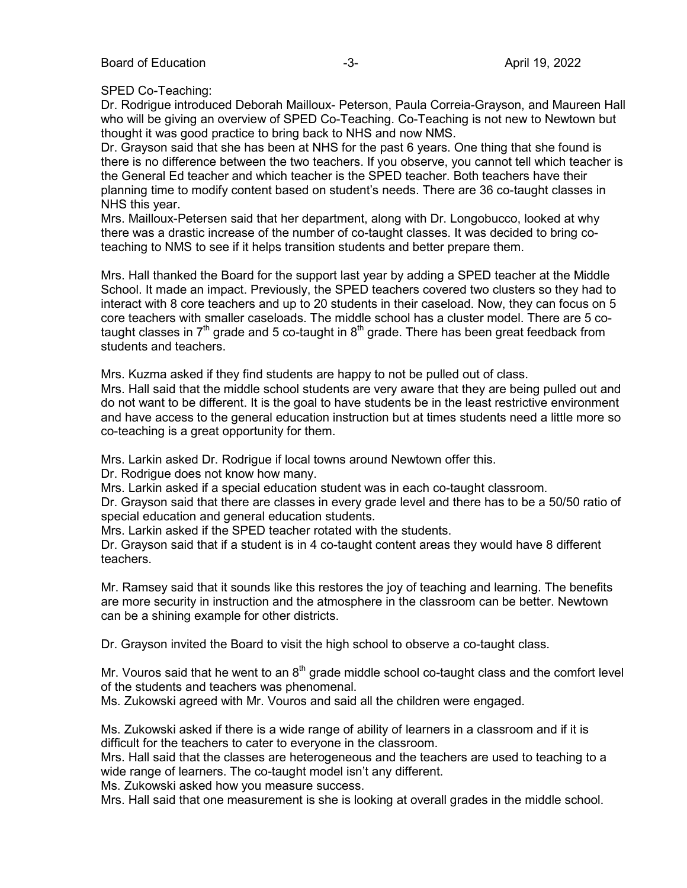### SPED Co-Teaching:

Dr. Rodrigue introduced Deborah Mailloux- Peterson, Paula Correia-Grayson, and Maureen Hall who will be giving an overview of SPED Co-Teaching. Co-Teaching is not new to Newtown but thought it was good practice to bring back to NHS and now NMS.

Dr. Grayson said that she has been at NHS for the past 6 years. One thing that she found is there is no difference between the two teachers. If you observe, you cannot tell which teacher is the General Ed teacher and which teacher is the SPED teacher. Both teachers have their planning time to modify content based on student's needs. There are 36 co-taught classes in NHS this year.

Mrs. Mailloux-Petersen said that her department, along with Dr. Longobucco, looked at why there was a drastic increase of the number of co-taught classes. It was decided to bring coteaching to NMS to see if it helps transition students and better prepare them.

Mrs. Hall thanked the Board for the support last year by adding a SPED teacher at the Middle School. It made an impact. Previously, the SPED teachers covered two clusters so they had to interact with 8 core teachers and up to 20 students in their caseload. Now, they can focus on 5 core teachers with smaller caseloads. The middle school has a cluster model. There are 5 cotaught classes in  $7<sup>th</sup>$  grade and 5 co-taught in  $8<sup>th</sup>$  grade. There has been great feedback from students and teachers.

Mrs. Kuzma asked if they find students are happy to not be pulled out of class.

Mrs. Hall said that the middle school students are very aware that they are being pulled out and do not want to be different. It is the goal to have students be in the least restrictive environment and have access to the general education instruction but at times students need a little more so co-teaching is a great opportunity for them.

Mrs. Larkin asked Dr. Rodrigue if local towns around Newtown offer this.

Dr. Rodrigue does not know how many.

Mrs. Larkin asked if a special education student was in each co-taught classroom.

Dr. Grayson said that there are classes in every grade level and there has to be a 50/50 ratio of special education and general education students.

Mrs. Larkin asked if the SPED teacher rotated with the students.

Dr. Grayson said that if a student is in 4 co-taught content areas they would have 8 different teachers.

Mr. Ramsey said that it sounds like this restores the joy of teaching and learning. The benefits are more security in instruction and the atmosphere in the classroom can be better. Newtown can be a shining example for other districts.

Dr. Grayson invited the Board to visit the high school to observe a co-taught class.

Mr. Vouros said that he went to an  $8<sup>th</sup>$  grade middle school co-taught class and the comfort level of the students and teachers was phenomenal.

Ms. Zukowski agreed with Mr. Vouros and said all the children were engaged.

Ms. Zukowski asked if there is a wide range of ability of learners in a classroom and if it is difficult for the teachers to cater to everyone in the classroom.

Mrs. Hall said that the classes are heterogeneous and the teachers are used to teaching to a wide range of learners. The co-taught model isn't any different.

Ms. Zukowski asked how you measure success.

Mrs. Hall said that one measurement is she is looking at overall grades in the middle school.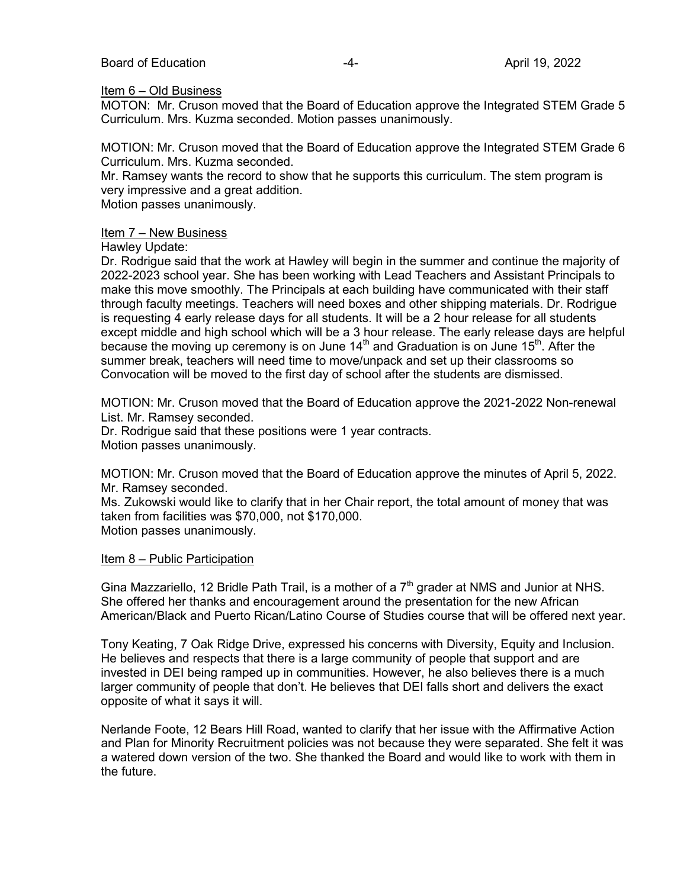### Item 6 – Old Business

MOTON: Mr. Cruson moved that the Board of Education approve the Integrated STEM Grade 5 Curriculum. Mrs. Kuzma seconded. Motion passes unanimously.

MOTION: Mr. Cruson moved that the Board of Education approve the Integrated STEM Grade 6 Curriculum. Mrs. Kuzma seconded.

Mr. Ramsey wants the record to show that he supports this curriculum. The stem program is very impressive and a great addition.

Motion passes unanimously.

### Item 7 – New Business

### Hawley Update:

Dr. Rodrigue said that the work at Hawley will begin in the summer and continue the majority of 2022-2023 school year. She has been working with Lead Teachers and Assistant Principals to make this move smoothly. The Principals at each building have communicated with their staff through faculty meetings. Teachers will need boxes and other shipping materials. Dr. Rodrigue is requesting 4 early release days for all students. It will be a 2 hour release for all students except middle and high school which will be a 3 hour release. The early release days are helpful because the moving up ceremony is on June 14<sup>th</sup> and Graduation is on June 15<sup>th</sup>. After the summer break, teachers will need time to move/unpack and set up their classrooms so Convocation will be moved to the first day of school after the students are dismissed.

MOTION: Mr. Cruson moved that the Board of Education approve the 2021-2022 Non-renewal List. Mr. Ramsey seconded.

Dr. Rodrigue said that these positions were 1 year contracts. Motion passes unanimously.

MOTION: Mr. Cruson moved that the Board of Education approve the minutes of April 5, 2022. Mr. Ramsey seconded.

Ms. Zukowski would like to clarify that in her Chair report, the total amount of money that was taken from facilities was \$70,000, not \$170,000.

Motion passes unanimously.

### Item 8 – Public Participation

Gina Mazzariello, 12 Bridle Path Trail, is a mother of a  $7<sup>th</sup>$  grader at NMS and Junior at NHS. She offered her thanks and encouragement around the presentation for the new African American/Black and Puerto Rican/Latino Course of Studies course that will be offered next year.

Tony Keating, 7 Oak Ridge Drive, expressed his concerns with Diversity, Equity and Inclusion. He believes and respects that there is a large community of people that support and are invested in DEI being ramped up in communities. However, he also believes there is a much larger community of people that don't. He believes that DEI falls short and delivers the exact opposite of what it says it will.

Nerlande Foote, 12 Bears Hill Road, wanted to clarify that her issue with the Affirmative Action and Plan for Minority Recruitment policies was not because they were separated. She felt it was a watered down version of the two. She thanked the Board and would like to work with them in the future.